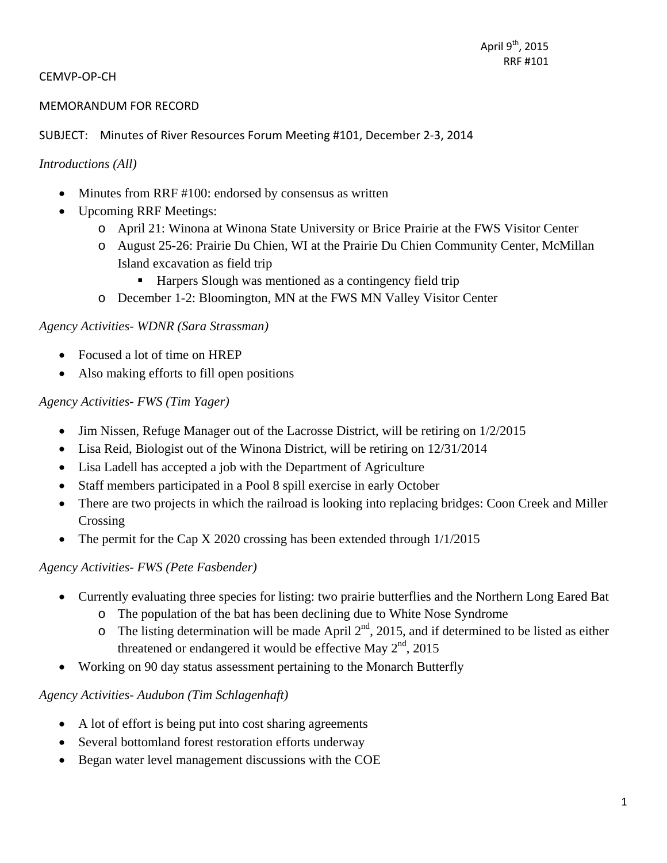### CEMVP‐OP‐CH

### MEMORANDUM FOR RECORD

SUBJECT: Minutes of River Resources Forum Meeting #101, December 2‐3, 2014

### *Introductions (All)*

- Minutes from RRF #100: endorsed by consensus as written
- Upcoming RRF Meetings:
	- o April 21: Winona at Winona State University or Brice Prairie at the FWS Visitor Center
	- o August 25-26: Prairie Du Chien, WI at the Prairie Du Chien Community Center, McMillan Island excavation as field trip
		- Harpers Slough was mentioned as a contingency field trip
	- o December 1-2: Bloomington, MN at the FWS MN Valley Visitor Center

### *Agency Activities- WDNR (Sara Strassman)*

- Focused a lot of time on HREP
- Also making efforts to fill open positions

### *Agency Activities- FWS (Tim Yager)*

- Jim Nissen, Refuge Manager out of the Lacrosse District, will be retiring on  $1/2/2015$
- Lisa Reid, Biologist out of the Winona District, will be retiring on 12/31/2014
- Lisa Ladell has accepted a job with the Department of Agriculture
- Staff members participated in a Pool 8 spill exercise in early October
- There are two projects in which the railroad is looking into replacing bridges: Coon Creek and Miller Crossing
- The permit for the Cap X 2020 crossing has been extended through  $1/1/2015$

#### *Agency Activities- FWS (Pete Fasbender)*

- Currently evaluating three species for listing: two prairie butterflies and the Northern Long Eared Bat
	- o The population of the bat has been declining due to White Nose Syndrome
	- $\circ$  The listing determination will be made April 2<sup>nd</sup>, 2015, and if determined to be listed as either threatened or endangered it would be effective May  $2<sup>nd</sup>$ , 2015
- Working on 90 day status assessment pertaining to the Monarch Butterfly

### *Agency Activities- Audubon (Tim Schlagenhaft)*

- A lot of effort is being put into cost sharing agreements
- Several bottomland forest restoration efforts underway
- Began water level management discussions with the COE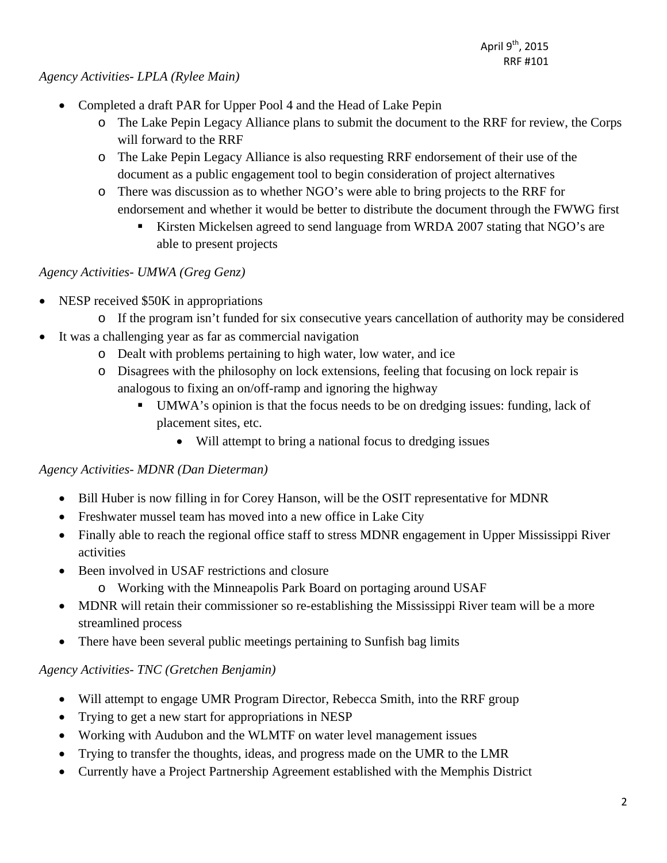*Agency Activities- LPLA (Rylee Main)* 

- Completed a draft PAR for Upper Pool 4 and the Head of Lake Pepin
	- o The Lake Pepin Legacy Alliance plans to submit the document to the RRF for review, the Corps will forward to the RRF
	- o The Lake Pepin Legacy Alliance is also requesting RRF endorsement of their use of the document as a public engagement tool to begin consideration of project alternatives
	- o There was discussion as to whether NGO's were able to bring projects to the RRF for endorsement and whether it would be better to distribute the document through the FWWG first
		- Kirsten Mickelsen agreed to send language from WRDA 2007 stating that NGO's are able to present projects

# *Agency Activities- UMWA (Greg Genz)*

- NESP received \$50K in appropriations
	- o If the program isn't funded for six consecutive years cancellation of authority may be considered
- It was a challenging year as far as commercial navigation
	- o Dealt with problems pertaining to high water, low water, and ice
	- o Disagrees with the philosophy on lock extensions, feeling that focusing on lock repair is analogous to fixing an on/off-ramp and ignoring the highway
		- UMWA's opinion is that the focus needs to be on dredging issues: funding, lack of placement sites, etc.
			- Will attempt to bring a national focus to dredging issues

## *Agency Activities- MDNR (Dan Dieterman)*

- Bill Huber is now filling in for Corey Hanson, will be the OSIT representative for MDNR
- Freshwater mussel team has moved into a new office in Lake City
- Finally able to reach the regional office staff to stress MDNR engagement in Upper Mississippi River activities
- Been involved in USAF restrictions and closure
	- o Working with the Minneapolis Park Board on portaging around USAF
- MDNR will retain their commissioner so re-establishing the Mississippi River team will be a more streamlined process
- There have been several public meetings pertaining to Sunfish bag limits

## *Agency Activities- TNC (Gretchen Benjamin)*

- Will attempt to engage UMR Program Director, Rebecca Smith, into the RRF group
- Trying to get a new start for appropriations in NESP
- Working with Audubon and the WLMTF on water level management issues
- Trying to transfer the thoughts, ideas, and progress made on the UMR to the LMR
- Currently have a Project Partnership Agreement established with the Memphis District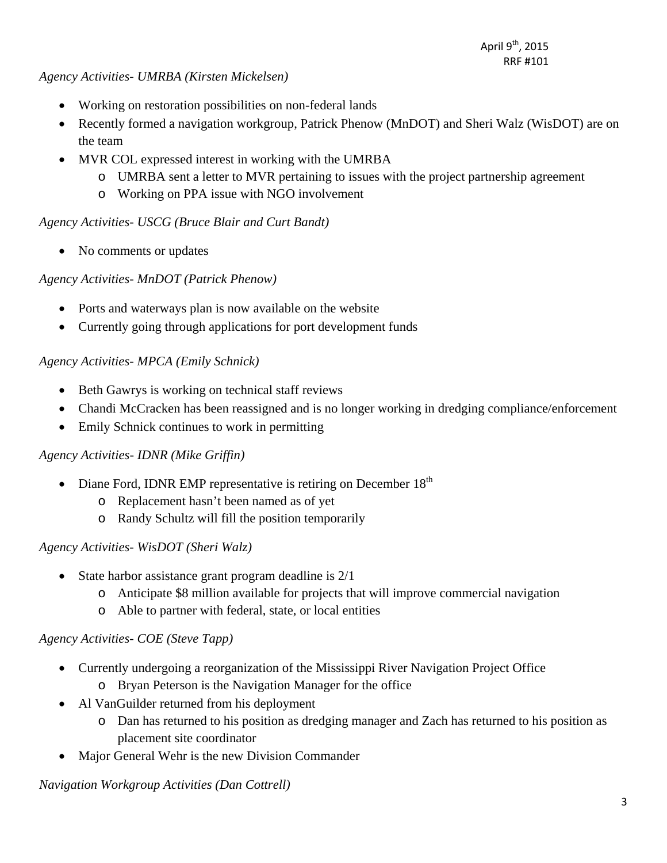### *Agency Activities- UMRBA (Kirsten Mickelsen)*

- Working on restoration possibilities on non-federal lands
- Recently formed a navigation workgroup, Patrick Phenow (MnDOT) and Sheri Walz (WisDOT) are on the team
- MVR COL expressed interest in working with the UMRBA
	- o UMRBA sent a letter to MVR pertaining to issues with the project partnership agreement
	- o Working on PPA issue with NGO involvement

### *Agency Activities- USCG (Bruce Blair and Curt Bandt)*

• No comments or updates

### *Agency Activities- MnDOT (Patrick Phenow)*

- Ports and waterways plan is now available on the website
- Currently going through applications for port development funds

### *Agency Activities- MPCA (Emily Schnick)*

- Beth Gawrys is working on technical staff reviews
- Chandi McCracken has been reassigned and is no longer working in dredging compliance/enforcement
- Emily Schnick continues to work in permitting

### *Agency Activities- IDNR (Mike Griffin)*

- Diane Ford, IDNR EMP representative is retiring on December  $18<sup>th</sup>$ 
	- o Replacement hasn't been named as of yet
	- o Randy Schultz will fill the position temporarily

### *Agency Activities- WisDOT (Sheri Walz)*

- State harbor assistance grant program deadline is  $2/1$ 
	- o Anticipate \$8 million available for projects that will improve commercial navigation
	- o Able to partner with federal, state, or local entities

### *Agency Activities- COE (Steve Tapp)*

- Currently undergoing a reorganization of the Mississippi River Navigation Project Office
	- o Bryan Peterson is the Navigation Manager for the office
- Al VanGuilder returned from his deployment
	- o Dan has returned to his position as dredging manager and Zach has returned to his position as placement site coordinator
- Major General Wehr is the new Division Commander

### *Navigation Workgroup Activities (Dan Cottrell)*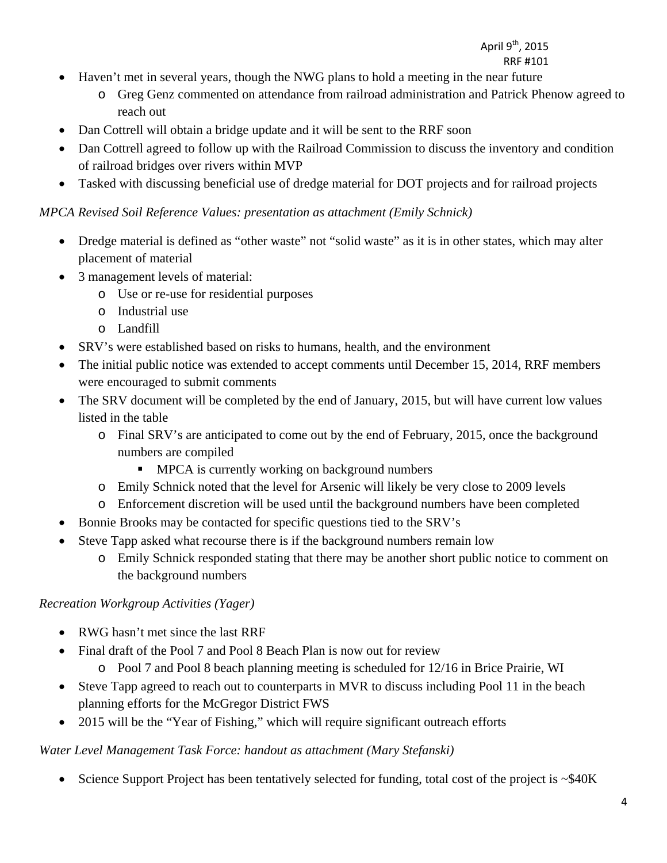- Haven't met in several years, though the NWG plans to hold a meeting in the near future
	- o Greg Genz commented on attendance from railroad administration and Patrick Phenow agreed to reach out
- Dan Cottrell will obtain a bridge update and it will be sent to the RRF soon
- Dan Cottrell agreed to follow up with the Railroad Commission to discuss the inventory and condition of railroad bridges over rivers within MVP
- Tasked with discussing beneficial use of dredge material for DOT projects and for railroad projects

*MPCA Revised Soil Reference Values: presentation as attachment (Emily Schnick)*

- Dredge material is defined as "other waste" not "solid waste" as it is in other states, which may alter placement of material
- 3 management levels of material:
	- o Use or re-use for residential purposes
	- o Industrial use
	- o Landfill
- SRV's were established based on risks to humans, health, and the environment
- The initial public notice was extended to accept comments until December 15, 2014, RRF members were encouraged to submit comments
- The SRV document will be completed by the end of January, 2015, but will have current low values listed in the table
	- o Final SRV's are anticipated to come out by the end of February, 2015, once the background numbers are compiled
		- **MPCA** is currently working on background numbers
	- o Emily Schnick noted that the level for Arsenic will likely be very close to 2009 levels
	- o Enforcement discretion will be used until the background numbers have been completed
- Bonnie Brooks may be contacted for specific questions tied to the SRV's
- Steve Tapp asked what recourse there is if the background numbers remain low
	- o Emily Schnick responded stating that there may be another short public notice to comment on the background numbers

## *Recreation Workgroup Activities (Yager)*

- RWG hasn't met since the last RRF
- Final draft of the Pool 7 and Pool 8 Beach Plan is now out for review
	- o Pool 7 and Pool 8 beach planning meeting is scheduled for 12/16 in Brice Prairie, WI
- Steve Tapp agreed to reach out to counterparts in MVR to discuss including Pool 11 in the beach planning efforts for the McGregor District FWS
- 2015 will be the "Year of Fishing," which will require significant outreach efforts

# *Water Level Management Task Force: handout as attachment (Mary Stefanski)*

Science Support Project has been tentatively selected for funding, total cost of the project is  $\sim$ \$40K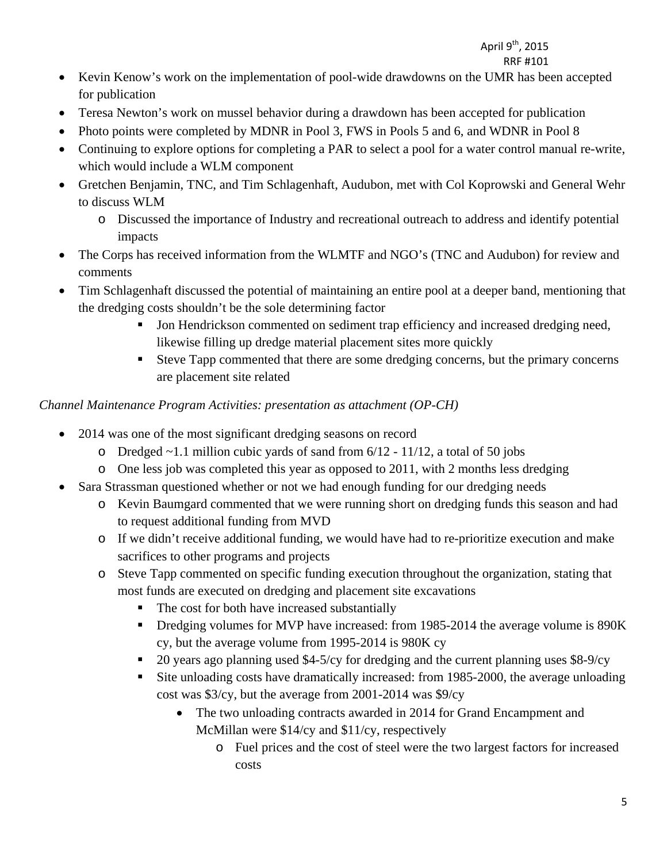### RRF #101 • Kevin Kenow's work on the implementation of pool-wide drawdowns on the UMR has been accepted for publication

- Teresa Newton's work on mussel behavior during a drawdown has been accepted for publication
- Photo points were completed by MDNR in Pool 3, FWS in Pools 5 and 6, and WDNR in Pool 8
- Continuing to explore options for completing a PAR to select a pool for a water control manual re-write, which would include a WLM component
- Gretchen Benjamin, TNC, and Tim Schlagenhaft, Audubon, met with Col Koprowski and General Wehr to discuss WLM
	- o Discussed the importance of Industry and recreational outreach to address and identify potential impacts
- The Corps has received information from the WLMTF and NGO's (TNC and Audubon) for review and comments
- Tim Schlagenhaft discussed the potential of maintaining an entire pool at a deeper band, mentioning that the dredging costs shouldn't be the sole determining factor
	- Jon Hendrickson commented on sediment trap efficiency and increased dredging need, likewise filling up dredge material placement sites more quickly
	- Steve Tapp commented that there are some dredging concerns, but the primary concerns are placement site related

## *Channel Maintenance Program Activities: presentation as attachment (OP-CH)*

- 2014 was one of the most significant dredging seasons on record
	- o Dredged ~1.1 million cubic yards of sand from 6/12 11/12, a total of 50 jobs
	- o One less job was completed this year as opposed to 2011, with 2 months less dredging
	- Sara Strassman questioned whether or not we had enough funding for our dredging needs
		- o Kevin Baumgard commented that we were running short on dredging funds this season and had to request additional funding from MVD
		- o If we didn't receive additional funding, we would have had to re-prioritize execution and make sacrifices to other programs and projects
		- o Steve Tapp commented on specific funding execution throughout the organization, stating that most funds are executed on dredging and placement site excavations
			- The cost for both have increased substantially
			- Dredging volumes for MVP have increased: from 1985-2014 the average volume is 890K cy, but the average volume from 1995-2014 is 980K cy
			- $\blacksquare$  20 years ago planning used \$4-5/cy for dredging and the current planning uses \$8-9/cy
			- Site unloading costs have dramatically increased: from 1985-2000, the average unloading cost was \$3/cy, but the average from 2001-2014 was \$9/cy
				- The two unloading contracts awarded in 2014 for Grand Encampment and McMillan were \$14/cy and \$11/cy, respectively
					- o Fuel prices and the cost of steel were the two largest factors for increased costs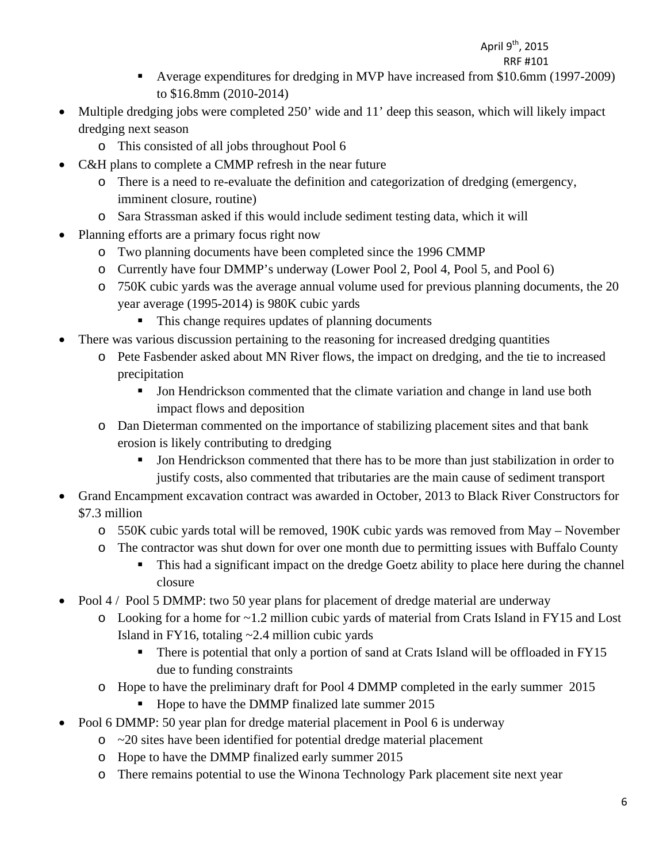# RRF #101

- Average expenditures for dredging in MVP have increased from \$10.6mm (1997-2009) to \$16.8mm (2010-2014)
- Multiple dredging jobs were completed 250' wide and 11' deep this season, which will likely impact dredging next season
	- o This consisted of all jobs throughout Pool 6
- C&H plans to complete a CMMP refresh in the near future
	- o There is a need to re-evaluate the definition and categorization of dredging (emergency, imminent closure, routine)
	- o Sara Strassman asked if this would include sediment testing data, which it will
- Planning efforts are a primary focus right now
	- o Two planning documents have been completed since the 1996 CMMP
	- o Currently have four DMMP's underway (Lower Pool 2, Pool 4, Pool 5, and Pool 6)
	- o 750K cubic yards was the average annual volume used for previous planning documents, the 20 year average (1995-2014) is 980K cubic yards
		- This change requires updates of planning documents
- There was various discussion pertaining to the reasoning for increased dredging quantities
	- o Pete Fasbender asked about MN River flows, the impact on dredging, and the tie to increased precipitation
		- Jon Hendrickson commented that the climate variation and change in land use both impact flows and deposition
	- o Dan Dieterman commented on the importance of stabilizing placement sites and that bank erosion is likely contributing to dredging
		- Jon Hendrickson commented that there has to be more than just stabilization in order to justify costs, also commented that tributaries are the main cause of sediment transport
- Grand Encampment excavation contract was awarded in October, 2013 to Black River Constructors for \$7.3 million
	- o 550K cubic yards total will be removed, 190K cubic yards was removed from May November
	- o The contractor was shut down for over one month due to permitting issues with Buffalo County
		- This had a significant impact on the dredge Goetz ability to place here during the channel closure
- Pool 4 / Pool 5 DMMP: two 50 year plans for placement of dredge material are underway
	- o Looking for a home for ~1.2 million cubic yards of material from Crats Island in FY15 and Lost Island in FY16, totaling  $\sim$ 2.4 million cubic yards
		- There is potential that only a portion of sand at Crats Island will be offloaded in FY15 due to funding constraints
	- o Hope to have the preliminary draft for Pool 4 DMMP completed in the early summer 2015
		- Hope to have the DMMP finalized late summer 2015
- Pool 6 DMMP: 50 year plan for dredge material placement in Pool 6 is underway
	- $\circ$  ~20 sites have been identified for potential dredge material placement
	- o Hope to have the DMMP finalized early summer 2015
	- o There remains potential to use the Winona Technology Park placement site next year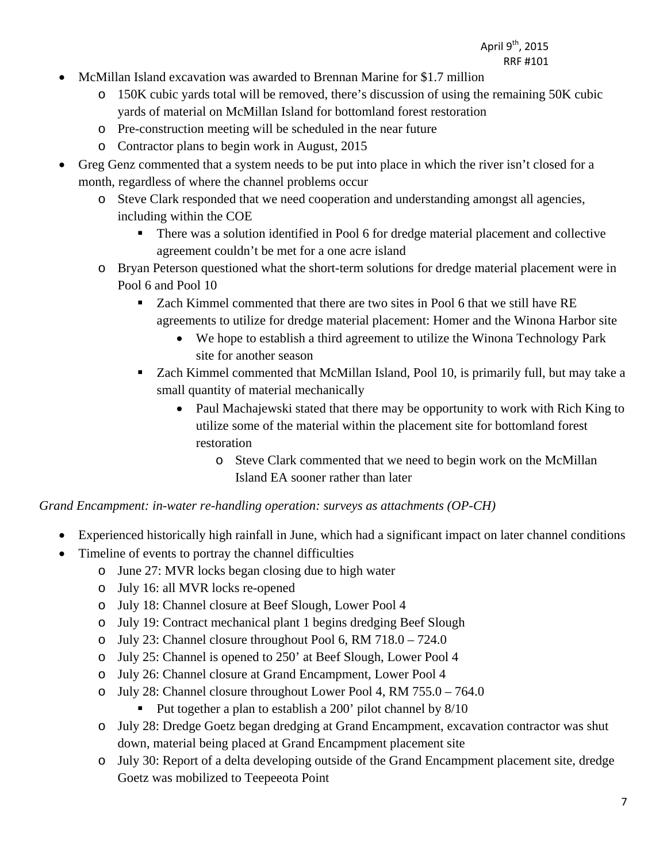- McMillan Island excavation was awarded to Brennan Marine for \$1.7 million
	- o 150K cubic yards total will be removed, there's discussion of using the remaining 50K cubic yards of material on McMillan Island for bottomland forest restoration
	- o Pre-construction meeting will be scheduled in the near future
	- o Contractor plans to begin work in August, 2015
- Greg Genz commented that a system needs to be put into place in which the river isn't closed for a month, regardless of where the channel problems occur
	- o Steve Clark responded that we need cooperation and understanding amongst all agencies, including within the COE
		- There was a solution identified in Pool 6 for dredge material placement and collective agreement couldn't be met for a one acre island
	- o Bryan Peterson questioned what the short-term solutions for dredge material placement were in Pool 6 and Pool 10
		- Zach Kimmel commented that there are two sites in Pool 6 that we still have RE agreements to utilize for dredge material placement: Homer and the Winona Harbor site
			- We hope to establish a third agreement to utilize the Winona Technology Park site for another season
		- Zach Kimmel commented that McMillan Island, Pool 10, is primarily full, but may take a small quantity of material mechanically
			- Paul Machajewski stated that there may be opportunity to work with Rich King to utilize some of the material within the placement site for bottomland forest restoration
				- o Steve Clark commented that we need to begin work on the McMillan Island EA sooner rather than later

*Grand Encampment: in-water re-handling operation: surveys as attachments (OP-CH)* 

- Experienced historically high rainfall in June, which had a significant impact on later channel conditions
	- Timeline of events to portray the channel difficulties
		- o June 27: MVR locks began closing due to high water
		- o July 16: all MVR locks re-opened
		- o July 18: Channel closure at Beef Slough, Lower Pool 4
		- o July 19: Contract mechanical plant 1 begins dredging Beef Slough
		- o July 23: Channel closure throughout Pool 6, RM 718.0 724.0
		- o July 25: Channel is opened to 250' at Beef Slough, Lower Pool 4
		- o July 26: Channel closure at Grand Encampment, Lower Pool 4
		- o July 28: Channel closure throughout Lower Pool 4, RM 755.0 764.0
			- Put together a plan to establish a  $200'$  pilot channel by  $8/10$
		- o July 28: Dredge Goetz began dredging at Grand Encampment, excavation contractor was shut down, material being placed at Grand Encampment placement site
		- o July 30: Report of a delta developing outside of the Grand Encampment placement site, dredge Goetz was mobilized to Teepeeota Point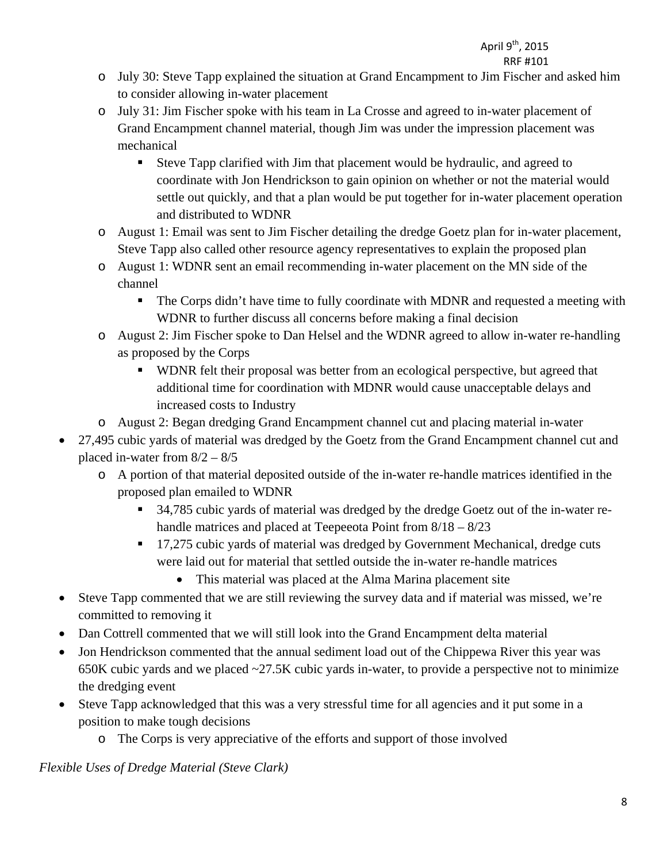- RRF #101 o July 30: Steve Tapp explained the situation at Grand Encampment to Jim Fischer and asked him to consider allowing in-water placement
	- o July 31: Jim Fischer spoke with his team in La Crosse and agreed to in-water placement of Grand Encampment channel material, though Jim was under the impression placement was mechanical
		- Steve Tapp clarified with Jim that placement would be hydraulic, and agreed to coordinate with Jon Hendrickson to gain opinion on whether or not the material would settle out quickly, and that a plan would be put together for in-water placement operation and distributed to WDNR
	- o August 1: Email was sent to Jim Fischer detailing the dredge Goetz plan for in-water placement, Steve Tapp also called other resource agency representatives to explain the proposed plan
	- o August 1: WDNR sent an email recommending in-water placement on the MN side of the channel
		- The Corps didn't have time to fully coordinate with MDNR and requested a meeting with WDNR to further discuss all concerns before making a final decision
	- o August 2: Jim Fischer spoke to Dan Helsel and the WDNR agreed to allow in-water re-handling as proposed by the Corps
		- WDNR felt their proposal was better from an ecological perspective, but agreed that additional time for coordination with MDNR would cause unacceptable delays and increased costs to Industry
	- o August 2: Began dredging Grand Encampment channel cut and placing material in-water
	- 27,495 cubic yards of material was dredged by the Goetz from the Grand Encampment channel cut and placed in-water from 8/2 – 8/5
		- o A portion of that material deposited outside of the in-water re-handle matrices identified in the proposed plan emailed to WDNR
			- <sup>34,785</sup> cubic yards of material was dredged by the dredge Goetz out of the in-water rehandle matrices and placed at Teepeeota Point from 8/18 – 8/23
			- <sup>17,275</sup> cubic yards of material was dredged by Government Mechanical, dredge cuts were laid out for material that settled outside the in-water re-handle matrices
				- This material was placed at the Alma Marina placement site
	- Steve Tapp commented that we are still reviewing the survey data and if material was missed, we're committed to removing it
	- Dan Cottrell commented that we will still look into the Grand Encampment delta material
	- Jon Hendrickson commented that the annual sediment load out of the Chippewa River this year was 650K cubic yards and we placed ~27.5K cubic yards in-water, to provide a perspective not to minimize the dredging event
	- Steve Tapp acknowledged that this was a very stressful time for all agencies and it put some in a position to make tough decisions
		- o The Corps is very appreciative of the efforts and support of those involved

*Flexible Uses of Dredge Material (Steve Clark)*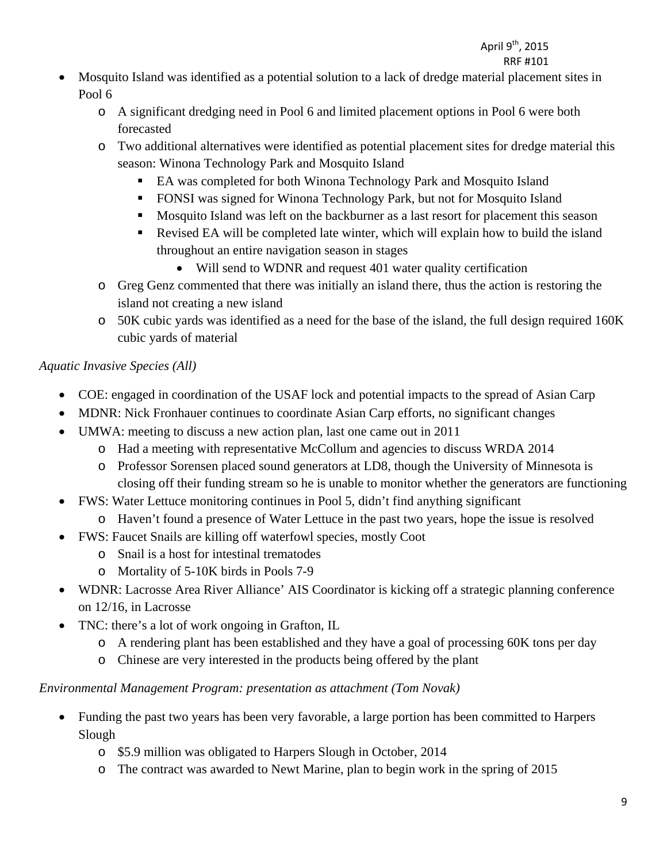### RRF #101

- Mosquito Island was identified as a potential solution to a lack of dredge material placement sites in Pool 6
	- o A significant dredging need in Pool 6 and limited placement options in Pool 6 were both forecasted
	- o Two additional alternatives were identified as potential placement sites for dredge material this season: Winona Technology Park and Mosquito Island
		- EA was completed for both Winona Technology Park and Mosquito Island
		- FONSI was signed for Winona Technology Park, but not for Mosquito Island
		- **Mosquito Island was left on the backburner as a last resort for placement this season**
		- Revised EA will be completed late winter, which will explain how to build the island throughout an entire navigation season in stages
			- Will send to WDNR and request 401 water quality certification
	- o Greg Genz commented that there was initially an island there, thus the action is restoring the island not creating a new island
	- o 50K cubic yards was identified as a need for the base of the island, the full design required 160K cubic yards of material

# *Aquatic Invasive Species (All)*

- COE: engaged in coordination of the USAF lock and potential impacts to the spread of Asian Carp
- MDNR: Nick Fronhauer continues to coordinate Asian Carp efforts, no significant changes
- UMWA: meeting to discuss a new action plan, last one came out in 2011
	- o Had a meeting with representative McCollum and agencies to discuss WRDA 2014
	- o Professor Sorensen placed sound generators at LD8, though the University of Minnesota is closing off their funding stream so he is unable to monitor whether the generators are functioning
- FWS: Water Lettuce monitoring continues in Pool 5, didn't find anything significant
	- o Haven't found a presence of Water Lettuce in the past two years, hope the issue is resolved
- FWS: Faucet Snails are killing off waterfowl species, mostly Coot
	- o Snail is a host for intestinal trematodes
	- o Mortality of 5-10K birds in Pools 7-9
- WDNR: Lacrosse Area River Alliance' AIS Coordinator is kicking off a strategic planning conference on 12/16, in Lacrosse
- TNC: there's a lot of work ongoing in Grafton, IL
	- o A rendering plant has been established and they have a goal of processing 60K tons per day
	- o Chinese are very interested in the products being offered by the plant

# *Environmental Management Program: presentation as attachment (Tom Novak)*

- Funding the past two years has been very favorable, a large portion has been committed to Harpers Slough
	- o \$5.9 million was obligated to Harpers Slough in October, 2014
	- o The contract was awarded to Newt Marine, plan to begin work in the spring of 2015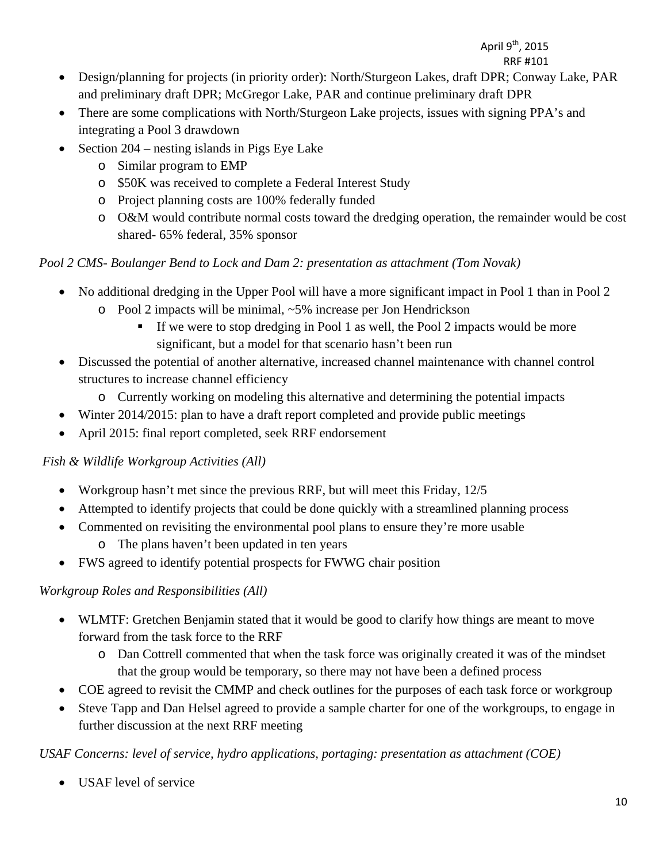- Design/planning for projects (in priority order): North/Sturgeon Lakes, draft DPR; Conway Lake, PAR and preliminary draft DPR; McGregor Lake, PAR and continue preliminary draft DPR
- There are some complications with North/Sturgeon Lake projects, issues with signing PPA's and integrating a Pool 3 drawdown
- Section  $204$  nesting islands in Pigs Eye Lake
	- o Similar program to EMP
	- o \$50K was received to complete a Federal Interest Study
	- o Project planning costs are 100% federally funded
	- o O&M would contribute normal costs toward the dredging operation, the remainder would be cost shared- 65% federal, 35% sponsor

*Pool 2 CMS- Boulanger Bend to Lock and Dam 2: presentation as attachment (Tom Novak)* 

- No additional dredging in the Upper Pool will have a more significant impact in Pool 1 than in Pool 2
	- o Pool 2 impacts will be minimal, ~5% increase per Jon Hendrickson
		- If we were to stop dredging in Pool 1 as well, the Pool 2 impacts would be more significant, but a model for that scenario hasn't been run
- Discussed the potential of another alternative, increased channel maintenance with channel control structures to increase channel efficiency
	- o Currently working on modeling this alternative and determining the potential impacts
- Winter 2014/2015: plan to have a draft report completed and provide public meetings
- April 2015: final report completed, seek RRF endorsement

## *Fish & Wildlife Workgroup Activities (All)*

- Workgroup hasn't met since the previous RRF, but will meet this Friday, 12/5
- Attempted to identify projects that could be done quickly with a streamlined planning process
- Commented on revisiting the environmental pool plans to ensure they're more usable
	- o The plans haven't been updated in ten years
- FWS agreed to identify potential prospects for FWWG chair position

### *Workgroup Roles and Responsibilities (All)*

- WLMTF: Gretchen Benjamin stated that it would be good to clarify how things are meant to move forward from the task force to the RRF
	- o Dan Cottrell commented that when the task force was originally created it was of the mindset that the group would be temporary, so there may not have been a defined process
- COE agreed to revisit the CMMP and check outlines for the purposes of each task force or workgroup
- Steve Tapp and Dan Helsel agreed to provide a sample charter for one of the workgroups, to engage in further discussion at the next RRF meeting

*USAF Concerns: level of service, hydro applications, portaging: presentation as attachment (COE)*

• **USAF** level of service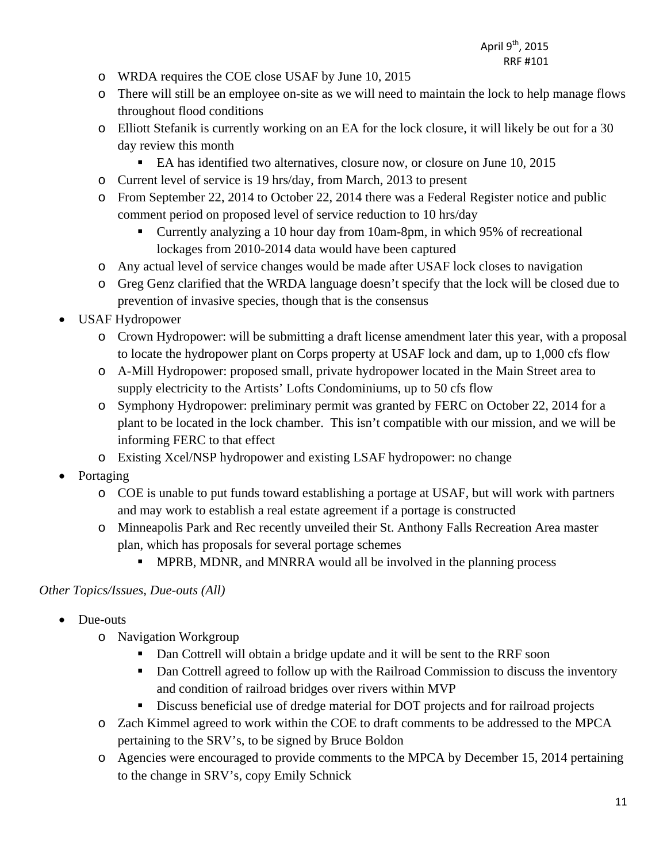- o WRDA requires the COE close USAF by June 10, 2015
- o There will still be an employee on-site as we will need to maintain the lock to help manage flows throughout flood conditions
- o Elliott Stefanik is currently working on an EA for the lock closure, it will likely be out for a 30 day review this month
	- EA has identified two alternatives, closure now, or closure on June 10, 2015
- o Current level of service is 19 hrs/day, from March, 2013 to present
- o From September 22, 2014 to October 22, 2014 there was a Federal Register notice and public comment period on proposed level of service reduction to 10 hrs/day
	- Currently analyzing a 10 hour day from 10am-8pm, in which 95% of recreational lockages from 2010-2014 data would have been captured
- o Any actual level of service changes would be made after USAF lock closes to navigation
- o Greg Genz clarified that the WRDA language doesn't specify that the lock will be closed due to prevention of invasive species, though that is the consensus
- USAF Hydropower
	- o Crown Hydropower: will be submitting a draft license amendment later this year, with a proposal to locate the hydropower plant on Corps property at USAF lock and dam, up to 1,000 cfs flow
	- o A-Mill Hydropower: proposed small, private hydropower located in the Main Street area to supply electricity to the Artists' Lofts Condominiums, up to 50 cfs flow
	- o Symphony Hydropower: preliminary permit was granted by FERC on October 22, 2014 for a plant to be located in the lock chamber. This isn't compatible with our mission, and we will be informing FERC to that effect
	- o Existing Xcel/NSP hydropower and existing LSAF hydropower: no change
- Portaging
	- o COE is unable to put funds toward establishing a portage at USAF, but will work with partners and may work to establish a real estate agreement if a portage is constructed
	- o Minneapolis Park and Rec recently unveiled their St. Anthony Falls Recreation Area master plan, which has proposals for several portage schemes
		- **MPRB, MDNR, and MNRRA would all be involved in the planning process**

### *Other Topics/Issues, Due-outs (All)*

- Due-outs
	- o Navigation Workgroup
		- Dan Cottrell will obtain a bridge update and it will be sent to the RRF soon
		- Dan Cottrell agreed to follow up with the Railroad Commission to discuss the inventory and condition of railroad bridges over rivers within MVP
		- Discuss beneficial use of dredge material for DOT projects and for railroad projects
	- o Zach Kimmel agreed to work within the COE to draft comments to be addressed to the MPCA pertaining to the SRV's, to be signed by Bruce Boldon
	- o Agencies were encouraged to provide comments to the MPCA by December 15, 2014 pertaining to the change in SRV's, copy Emily Schnick